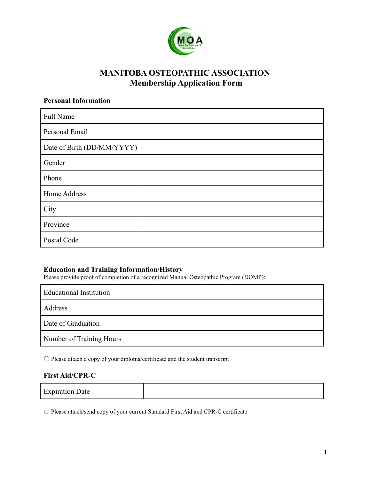

# **MANITOBA OSTEOPATHIC ASSOCIATION Membership Application Form**

### **Personal Information**

| Full Name                  |  |
|----------------------------|--|
| Personal Email             |  |
| Date of Birth (DD/MM/YYYY) |  |
| Gender                     |  |
| Phone                      |  |
| Home Address               |  |
| City                       |  |
| Province                   |  |
| Postal Code                |  |

### **Education and Training Information/History**

Please provide proof of completion of a recognized Manual Osteopathic Program (DOMP):

| <b>Educational Institution</b> |  |
|--------------------------------|--|
| Address                        |  |
| Date of Graduation             |  |
| Number of Training Hours       |  |

〇 Please attach a copy of your diploma/certificate and the student transcript

#### **First Aid/CPR-C**

| <b>Expiration Date</b> |  |
|------------------------|--|
|------------------------|--|

〇 Please attach/send copy of your current Standard First Aid and CPR-C certificate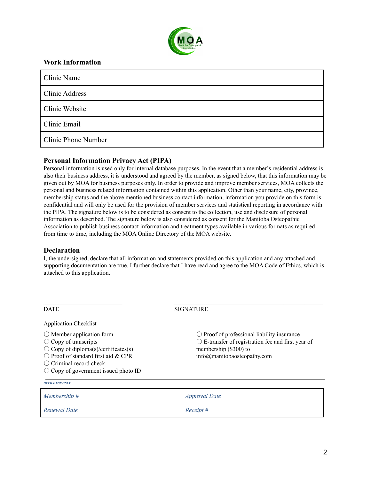

### **Work Information**

| Clinic Name                |  |
|----------------------------|--|
| <b>Clinic Address</b>      |  |
| Clinic Website             |  |
| Clinic Email               |  |
| <b>Clinic Phone Number</b> |  |

#### **Personal Information Privacy Act (PIPA)**

Personal information is used only for internal database purposes. In the event that a member's residential address is also their business address, it is understood and agreed by the member, as signed below, that this information may be given out by MOA for business purposes only. In order to provide and improve member services, MOA collects the personal and business related information contained within this application. Other than your name, city, province, membership status and the above mentioned business contact information, information you provide on this form is confidential and will only be used for the provision of member services and statistical reporting in accordance with the PIPA. The signature below is to be considered as consent to the collection, use and disclosure of personal information as described. The signature below is also considered as consent for the Manitoba Osteopathic Association to publish business contact information and treatment types available in various formats as required from time to time, including the MOA Online Directory of the MOA website.

#### **Declaration**

I, the undersigned, declare that all information and statements provided on this application and any attached and supporting documentation are true. I further declare that I have read and agree to the MOA Code of Ethics, which is attached to this application.

| <b>DATE</b>                                   | <b>SIGNATURE</b>                                            |
|-----------------------------------------------|-------------------------------------------------------------|
| <b>Application Checklist</b>                  |                                                             |
| $\bigcirc$ Member application form            | $\bigcirc$ Proof of professional liability insurance        |
| $\bigcirc$ Copy of transcripts                | $\bigcirc$ E-transfer of registration fee and first year of |
| $\bigcirc$ Copy of diploma(s)/certificates(s) | membership (\$300) to                                       |
| $\bigcirc$ Proof of standard first aid & CPR  | info@manitobaosteopathy.com                                 |
| $\bigcirc$ Criminal record check              |                                                             |
| $\bigcirc$ Copy of government issued photo ID |                                                             |

| Membership # | <i>Approval Date</i> |
|--------------|----------------------|
| Renewal Date | Receipt #            |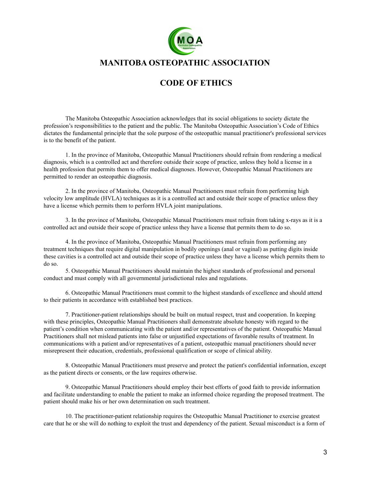

## **MANITOBA OSTEOPATHIC ASSOCIATION**

# **CODE OF ETHICS**

The Manitoba Osteopathic Association acknowledges that its social obligations to society dictate the profession's responsibilities to the patient and the public. The Manitoba Osteopathic Association's Code of Ethics dictates the fundamental principle that the sole purpose of the osteopathic manual practitioner's professional services is to the benefit of the patient.

1. In the province of Manitoba, Osteopathic Manual Practitioners should refrain from rendering a medical diagnosis, which is a controlled act and therefore outside their scope of practice, unless they hold a license in a health profession that permits them to offer medical diagnoses. However, Osteopathic Manual Practitioners are permitted to render an osteopathic diagnosis.

2. In the province of Manitoba, Osteopathic Manual Practitioners must refrain from performing high velocity low amplitude (HVLA) techniques as it is a controlled act and outside their scope of practice unless they have a license which permits them to perform HVLA joint manipulations.

3. In the province of Manitoba, Osteopathic Manual Practitioners must refrain from taking x-rays as it is a controlled act and outside their scope of practice unless they have a license that permits them to do so.

4. In the province of Manitoba, Osteopathic Manual Practitioners must refrain from performing any treatment techniques that require digital manipulation in bodily openings (anal or vaginal) as putting digits inside these cavities is a controlled act and outside their scope of practice unless they have a license which permits them to do so.

5. Osteopathic Manual Practitioners should maintain the highest standards of professional and personal conduct and must comply with all governmental jurisdictional rules and regulations.

6. Osteopathic Manual Practitioners must commit to the highest standards of excellence and should attend to their patients in accordance with established best practices.

7. Practitioner-patient relationships should be built on mutual respect, trust and cooperation. In keeping with these principles, Osteopathic Manual Practitioners shall demonstrate absolute honesty with regard to the patient's condition when communicating with the patient and/or representatives of the patient. Osteopathic Manual Practitioners shall not mislead patients into false or unjustified expectations of favorable results of treatment. In communications with a patient and/or representatives of a patient, osteopathic manual practitioners should never misrepresent their education, credentials, professional qualification or scope of clinical ability.

8. Osteopathic Manual Practitioners must preserve and protect the patient's confidential information, except as the patient directs or consents, or the law requires otherwise.

9. Osteopathic Manual Practitioners should employ their best efforts of good faith to provide information and facilitate understanding to enable the patient to make an informed choice regarding the proposed treatment. The patient should make his or her own determination on such treatment.

10. The practitioner-patient relationship requires the Osteopathic Manual Practitioner to exercise greatest care that he or she will do nothing to exploit the trust and dependency of the patient. Sexual misconduct is a form of